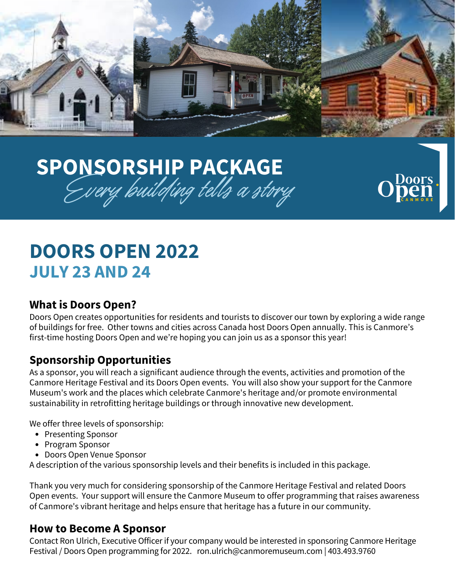

Doors.

**C A N M O R E**

# **SPONSORSHIP PACKAGE** Every building tells a strry  $\mathrm{Open}^*$

## **DOORS OPEN 2022 JULY 23 AND 24**

### **What is Doors Open?**

Doors Open creates opportunities for residents and tourists to discover our town by exploring a wide range of buildings for free. Other towns and cities across Canada host Doors Open annually. This is Canmore's first-time hosting Doors Open and we're hoping you can join us as a sponsor this year!

### **Sponsorship Opportunities**

As a sponsor, you will reach a significant audience through the events, activities and promotion of the Canmore Heritage Festival and its Doors Open events. You will also show your support for the Canmore Museum's work and the places which celebrate Canmore's heritage and/or promote environmental sustainability in retrofitting heritage buildings or through innovative new development.

We offer three levels of sponsorship:

- Presenting Sponsor
- Program Sponsor
- Doors Open Venue Sponsor

A description of the various sponsorship levels and their benefits is included in this package.

Thank you very much for considering sponsorship of the Canmore Heritage Festival and related Doors Open events. Your support will ensure the Canmore Museum to offer programming that raises awareness of Canmore's vibrant heritage and helps ensure that heritage has a future in our community.

#### **How to Become A Sponsor**

Contact Ron Ulrich, Executive Officer if your company would be interested in sponsoring Canmore Heritage Festival / Doors Open programming for 2022. ron.ulrich@canmoremuseum.com | 403.493.9760